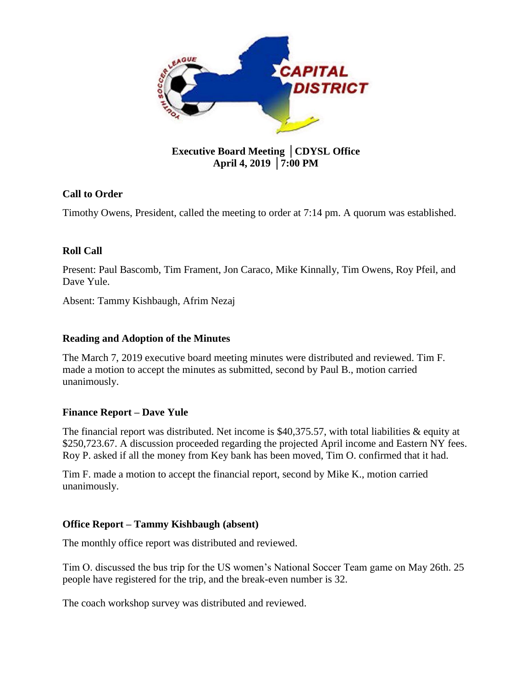

# **Executive Board Meeting** │**CDYSL Office April 4, 2019** │**7:00 PM**

## **Call to Order**

Timothy Owens, President, called the meeting to order at 7:14 pm. A quorum was established.

## **Roll Call**

Present: Paul Bascomb, Tim Frament, Jon Caraco, Mike Kinnally, Tim Owens, Roy Pfeil, and Dave Yule.

Absent: Tammy Kishbaugh, Afrim Nezaj

## **Reading and Adoption of the Minutes**

The March 7, 2019 executive board meeting minutes were distributed and reviewed. Tim F. made a motion to accept the minutes as submitted, second by Paul B., motion carried unanimously.

## **Finance Report – Dave Yule**

The financial report was distributed. Net income is \$40,375.57, with total liabilities & equity at \$250,723.67. A discussion proceeded regarding the projected April income and Eastern NY fees. Roy P. asked if all the money from Key bank has been moved, Tim O. confirmed that it had.

Tim F. made a motion to accept the financial report, second by Mike K., motion carried unanimously.

### **Office Report – Tammy Kishbaugh (absent)**

The monthly office report was distributed and reviewed.

Tim O. discussed the bus trip for the US women's National Soccer Team game on May 26th. 25 people have registered for the trip, and the break-even number is 32.

The coach workshop survey was distributed and reviewed.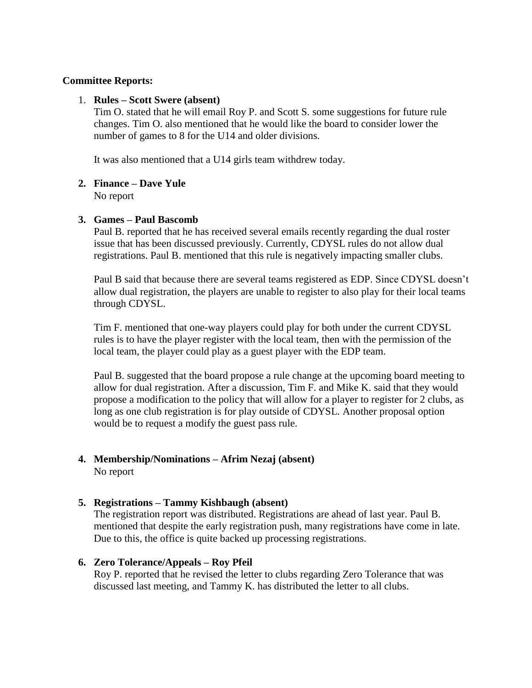### **Committee Reports:**

#### 1. **Rules – Scott Swere (absent)**

Tim O. stated that he will email Roy P. and Scott S. some suggestions for future rule changes. Tim O. also mentioned that he would like the board to consider lower the number of games to 8 for the U14 and older divisions.

It was also mentioned that a U14 girls team withdrew today.

### **2. Finance – Dave Yule**

No report

### **3. Games – Paul Bascomb**

Paul B. reported that he has received several emails recently regarding the dual roster issue that has been discussed previously. Currently, CDYSL rules do not allow dual registrations. Paul B. mentioned that this rule is negatively impacting smaller clubs.

Paul B said that because there are several teams registered as EDP. Since CDYSL doesn't allow dual registration, the players are unable to register to also play for their local teams through CDYSL.

Tim F. mentioned that one-way players could play for both under the current CDYSL rules is to have the player register with the local team, then with the permission of the local team, the player could play as a guest player with the EDP team.

Paul B. suggested that the board propose a rule change at the upcoming board meeting to allow for dual registration. After a discussion, Tim F. and Mike K. said that they would propose a modification to the policy that will allow for a player to register for 2 clubs, as long as one club registration is for play outside of CDYSL. Another proposal option would be to request a modify the guest pass rule.

### **4. Membership/Nominations – Afrim Nezaj (absent)** No report

### **5. Registrations – Tammy Kishbaugh (absent)**

The registration report was distributed. Registrations are ahead of last year. Paul B. mentioned that despite the early registration push, many registrations have come in late. Due to this, the office is quite backed up processing registrations.

### **6. Zero Tolerance/Appeals – Roy Pfeil**

Roy P. reported that he revised the letter to clubs regarding Zero Tolerance that was discussed last meeting, and Tammy K. has distributed the letter to all clubs.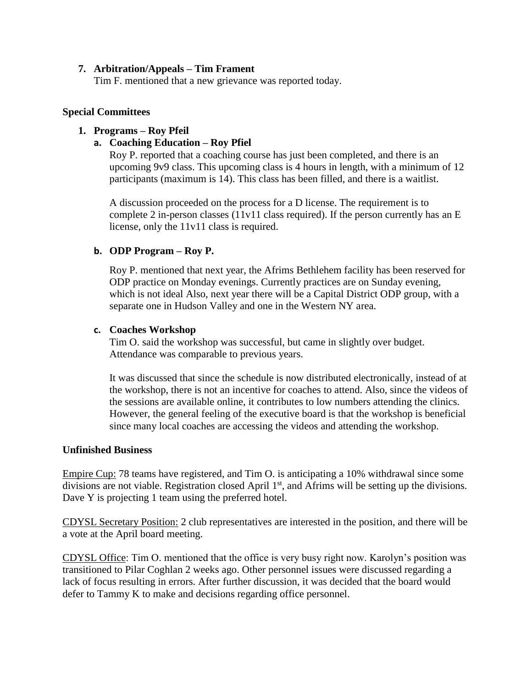#### **7. Arbitration/Appeals – Tim Frament**

Tim F. mentioned that a new grievance was reported today.

### **Special Committees**

## **1. Programs – Roy Pfeil**

## **a. Coaching Education – Roy Pfiel**

Roy P. reported that a coaching course has just been completed, and there is an upcoming 9v9 class. This upcoming class is 4 hours in length, with a minimum of 12 participants (maximum is 14). This class has been filled, and there is a waitlist.

A discussion proceeded on the process for a D license. The requirement is to complete 2 in-person classes (11v11 class required). If the person currently has an E license, only the 11v11 class is required.

## **b. ODP Program – Roy P.**

Roy P. mentioned that next year, the Afrims Bethlehem facility has been reserved for ODP practice on Monday evenings. Currently practices are on Sunday evening, which is not ideal Also, next year there will be a Capital District ODP group, with a separate one in Hudson Valley and one in the Western NY area.

### **c. Coaches Workshop**

Tim O. said the workshop was successful, but came in slightly over budget. Attendance was comparable to previous years.

It was discussed that since the schedule is now distributed electronically, instead of at the workshop, there is not an incentive for coaches to attend. Also, since the videos of the sessions are available online, it contributes to low numbers attending the clinics. However, the general feeling of the executive board is that the workshop is beneficial since many local coaches are accessing the videos and attending the workshop.

### **Unfinished Business**

Empire Cup: 78 teams have registered, and Tim O. is anticipating a 10% withdrawal since some divisions are not viable. Registration closed April 1<sup>st</sup>, and Afrims will be setting up the divisions. Dave Y is projecting 1 team using the preferred hotel.

CDYSL Secretary Position: 2 club representatives are interested in the position, and there will be a vote at the April board meeting.

CDYSL Office: Tim O. mentioned that the office is very busy right now. Karolyn's position was transitioned to Pilar Coghlan 2 weeks ago. Other personnel issues were discussed regarding a lack of focus resulting in errors. After further discussion, it was decided that the board would defer to Tammy K to make and decisions regarding office personnel.